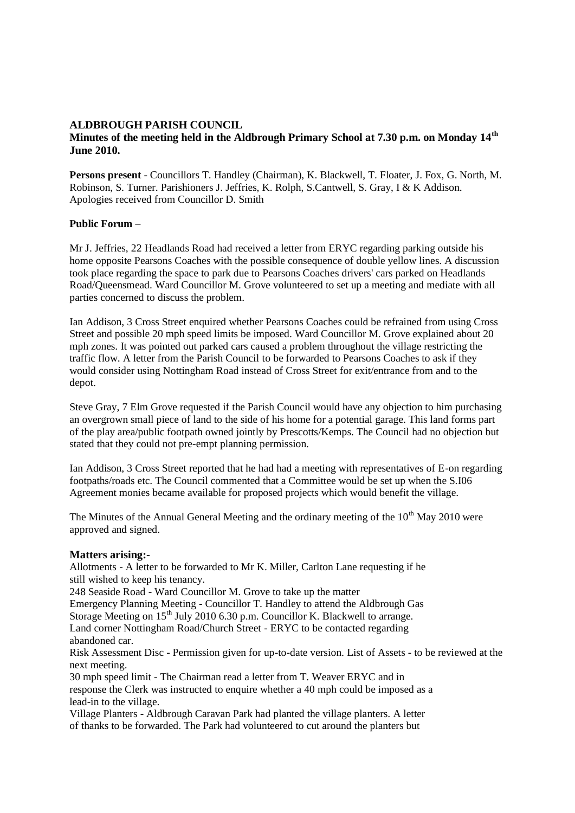# **ALDBROUGH PARISH COUNCIL**

# **Minutes of the meeting held in the Aldbrough Primary School at 7.30 p.m. on Monday 14th June 2010.**

**Persons present** - Councillors T. Handley (Chairman), K. Blackwell, T. Floater, J. Fox, G. North, M. Robinson, S. Turner. Parishioners J. Jeffries, K. Rolph, S.Cantwell, S. Gray, I & K Addison. Apologies received from Councillor D. Smith

# **Public Forum** –

Mr J. Jeffries, 22 Headlands Road had received a letter from ERYC regarding parking outside his home opposite Pearsons Coaches with the possible consequence of double yellow lines. A discussion took place regarding the space to park due to Pearsons Coaches drivers' cars parked on Headlands Road/Queensmead. Ward Councillor M. Grove volunteered to set up a meeting and mediate with all parties concerned to discuss the problem.

Ian Addison, 3 Cross Street enquired whether Pearsons Coaches could be refrained from using Cross Street and possible 20 mph speed limits be imposed. Ward Councillor M. Grove explained about 20 mph zones. It was pointed out parked cars caused a problem throughout the village restricting the traffic flow. A letter from the Parish Council to be forwarded to Pearsons Coaches to ask if they would consider using Nottingham Road instead of Cross Street for exit/entrance from and to the depot.

Steve Gray, 7 Elm Grove requested if the Parish Council would have any objection to him purchasing an overgrown small piece of land to the side of his home for a potential garage. This land forms part of the play area/public footpath owned jointly by Prescotts/Kemps. The Council had no objection but stated that they could not pre-empt planning permission.

Ian Addison, 3 Cross Street reported that he had had a meeting with representatives of E-on regarding footpaths/roads etc. The Council commented that a Committee would be set up when the S.I06 Agreement monies became available for proposed projects which would benefit the village.

The Minutes of the Annual General Meeting and the ordinary meeting of the  $10<sup>th</sup>$  May 2010 were approved and signed.

#### **Matters arising:-**

Allotments - A letter to be forwarded to Mr K. Miller, Carlton Lane requesting if he still wished to keep his tenancy.

248 Seaside Road - Ward Councillor M. Grove to take up the matter

Emergency Planning Meeting - Councillor T. Handley to attend the Aldbrough Gas

Storage Meeting on 15<sup>th</sup> July 2010 6.30 p.m. Councillor K. Blackwell to arrange.

Land corner Nottingham Road/Church Street - ERYC to be contacted regarding abandoned car.

Risk Assessment Disc - Permission given for up-to-date version. List of Assets - to be reviewed at the next meeting.

30 mph speed limit - The Chairman read a letter from T. Weaver ERYC and in response the Clerk was instructed to enquire whether a 40 mph could be imposed as a lead-in to the village.

Village Planters - Aldbrough Caravan Park had planted the village planters. A letter of thanks to be forwarded. The Park had volunteered to cut around the planters but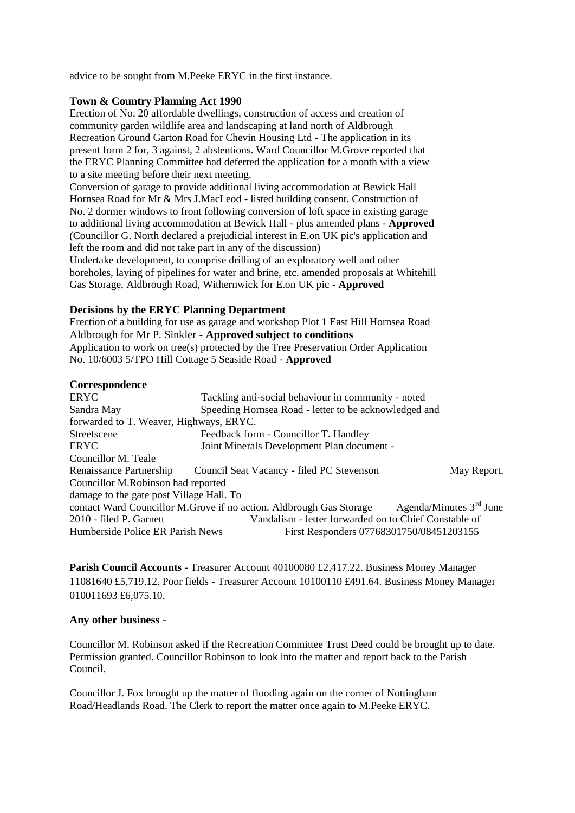advice to be sought from M.Peeke ERYC in the first instance.

# **Town & Country Planning Act 1990**

Erection of No. 20 affordable dwellings, construction of access and creation of community garden wildlife area and landscaping at land north of Aldbrough Recreation Ground Garton Road for Chevin Housing Ltd - The application in its present form 2 for, 3 against, 2 abstentions. Ward Councillor M.Grove reported that the ERYC Planning Committee had deferred the application for a month with a view to a site meeting before their next meeting.

Conversion of garage to provide additional living accommodation at Bewick Hall Hornsea Road for Mr & Mrs J.MacLeod - listed building consent. Construction of No. 2 dormer windows to front following conversion of loft space in existing garage to additional living accommodation at Bewick Hall - plus amended plans - **Approved** (Councillor G. North declared a prejudicial interest in E.on UK pic's application and left the room and did not take part in any of the discussion)

Undertake development, to comprise drilling of an exploratory well and other boreholes, laying of pipelines for water and brine, etc. amended proposals at Whitehill Gas Storage, Aldbrough Road, Withernwick for E.on UK pic - **Approved**

# **Decisions by the ERYC Planning Department**

Erection of a building for use as garage and workshop Plot 1 East Hill Hornsea Road Aldbrough for Mr P. Sinkler - **Approved subject to conditions** Application to work on tree(s) protected by the Tree Preservation Order Application No. 10/6003 5/TPO Hill Cottage 5 Seaside Road - **Approved**

# **Correspondence**

| <b>ERYC</b>                              | Tackling anti-social behaviour in community - noted                  |                                                       |  |
|------------------------------------------|----------------------------------------------------------------------|-------------------------------------------------------|--|
| Sandra May                               | Speeding Hornsea Road - letter to be acknowledged and                |                                                       |  |
| forwarded to T. Weaver, Highways, ERYC.  |                                                                      |                                                       |  |
| Streetscene                              | Feedback form - Councillor T. Handley                                |                                                       |  |
| ERYC                                     | Joint Minerals Development Plan document -                           |                                                       |  |
| Councillor M. Teale                      |                                                                      |                                                       |  |
| Renaissance Partnership                  | Council Seat Vacancy - filed PC Stevenson                            | May Report.                                           |  |
| Councillor M.Robinson had reported       |                                                                      |                                                       |  |
| damage to the gate post Village Hall. To |                                                                      |                                                       |  |
|                                          | contact Ward Councillor M. Grove if no action. Aldbrough Gas Storage | Agenda/Minutes $3rd$ June                             |  |
| 2010 - filed P. Garnett                  |                                                                      | Vandalism - letter forwarded on to Chief Constable of |  |
| Humberside Police ER Parish News         |                                                                      | First Responders 07768301750/08451203155              |  |

**Parish Council Accounts** - Treasurer Account 40100080 £2,417.22. Business Money Manager 11081640 £5,719.12. Poor fields - Treasurer Account 10100110 £491.64. Business Money Manager 010011693 £6,075.10.

# **Any other business -**

Councillor M. Robinson asked if the Recreation Committee Trust Deed could be brought up to date. Permission granted. Councillor Robinson to look into the matter and report back to the Parish Council.

Councillor J. Fox brought up the matter of flooding again on the corner of Nottingham Road/Headlands Road. The Clerk to report the matter once again to M.Peeke ERYC.